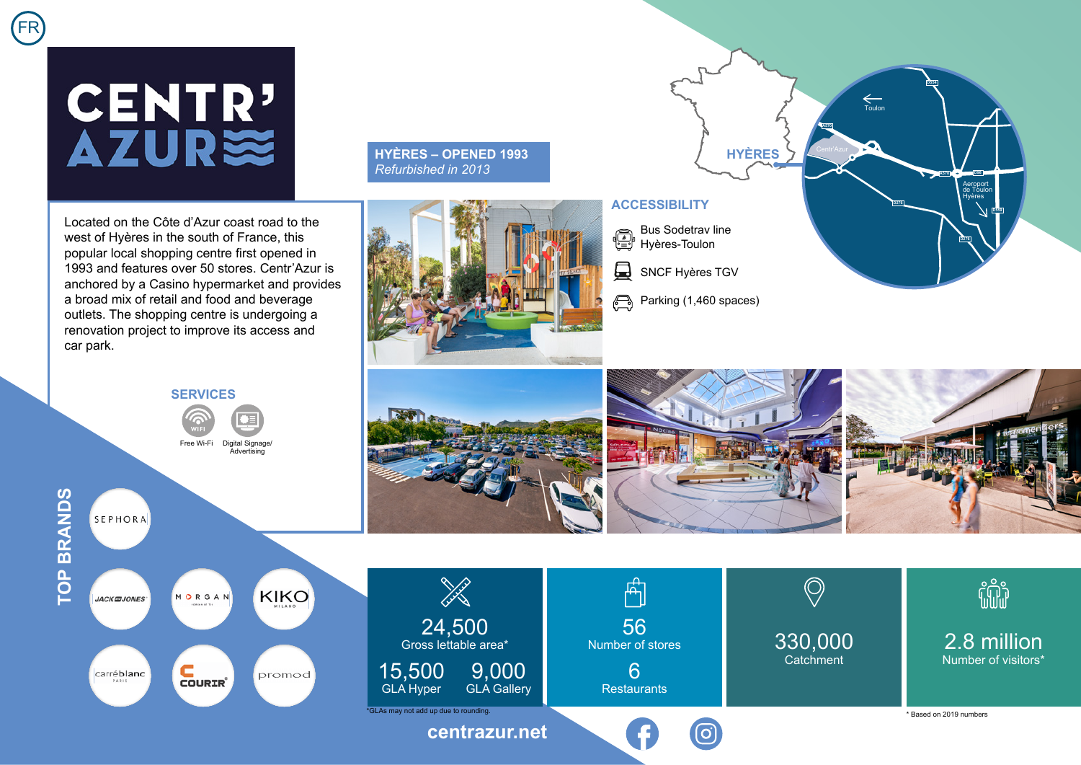## CENTR'<br>AZUR≋

Located on the Côte d'Azur coast road to the west of Hyères in the south of France, this popular local shopping centre first opened in 1993 and features over 50 stores. Centr'Azur is anchored by a Casino hypermarket and provides a broad mix of retail and food and beverage outlets. The shopping centre is undergoing a renovation project to improve its access and car park.

**SERVICES**

Free Wi-Fi Digital Signage/ Advertising

## **HYÈRES – OPENED 1993** *Refurbished in 2013*



## **ACCESSIBILITY**

Bus Sodetrav line Hyères-Toulon

 $\Box$ SNCF Hyères TGV

Parking (1,460 spaces)

**HYÈRES**

 $\xi$ Toulon

**A570**

**D276**

**D554**

Aeroport de Toulon Hyères

**A570 D98**

**D276**



**TOP BRANDS**

SEPHORA

**TOP BRANDS**